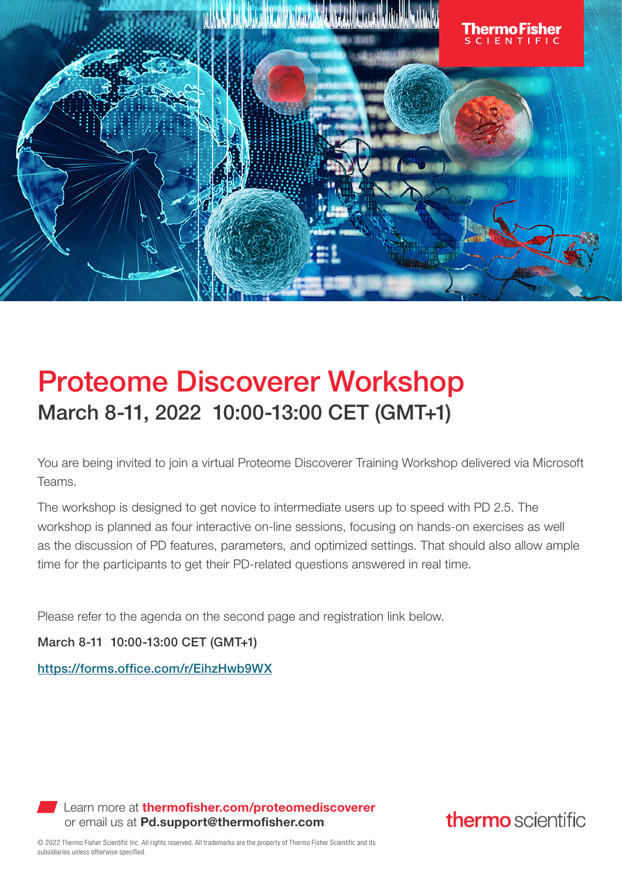

## Proteome Discoverer Workshop March 8-11, 2022 10:00-13:00 CET (GMT+1)

You are being invited to join a virtual Proteome Discoverer Training Workshop delivered via Microsoft Teams.

The workshop is designed to get novice to intermediate users up to speed with PD 2.5. The workshop is planned as four interactive on-line sessions, focusing on hands-on exercises as well as the discussion of PD features, parameters, and optimized settings. That should also allow ample time for the participants to get their PD-related questions answered in real time.

Please refer to the agenda on the second page and registration link below.

March 8-11 10:00-13:00 CET (GMT+1)

https://forms.office.com/r/EihzHwb9WX

Learn more at thermofisher.com/proteomediscoverer or email us at Pd.support@thermofisher.com

thermo scientific